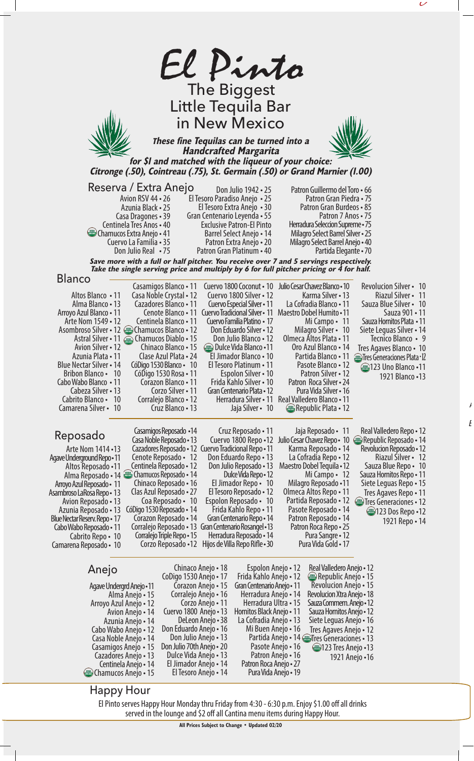

 $\overline{\phantom{a}}$ 

 $\mathbf F$ 

Happy Hour

Centinela Anejo • 14 Chamucos Anejo • 15

> El Pinto serves Happy Hour Monday thru Friday from 4:30 - 6:30 p.m. Enjoy \$1.00 off all drinks served in the lounge and \$2 off all Cantina menu items during Happy Hour.

Pura Vida Anejo • 19

El Tesoro Anejo • 14